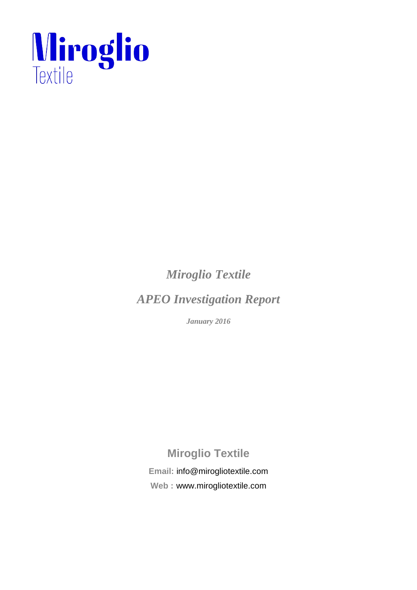

*Miroglio Textile* 

*APEO Investigation Report* 

*January 2016* 

# **Miroglio Textile**

**Email:** info@mirogliotextile.com **Web :** www.mirogliotextile.com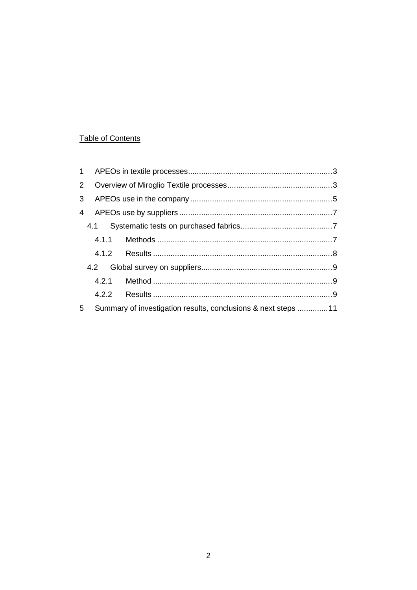## Table of Contents

| $\overline{2}$ |  |                                                               |  |  |  |
|----------------|--|---------------------------------------------------------------|--|--|--|
| 3 <sup>1</sup> |  |                                                               |  |  |  |
|                |  |                                                               |  |  |  |
|                |  |                                                               |  |  |  |
|                |  |                                                               |  |  |  |
|                |  |                                                               |  |  |  |
|                |  |                                                               |  |  |  |
|                |  |                                                               |  |  |  |
|                |  |                                                               |  |  |  |
| 5              |  | Summary of investigation results, conclusions & next steps 11 |  |  |  |
|                |  |                                                               |  |  |  |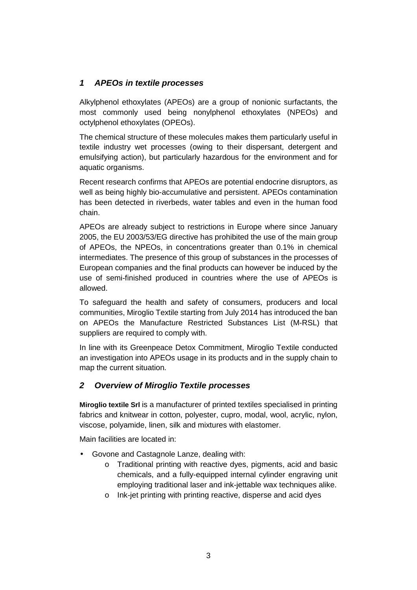## **1 APEOs in textile processes**

Alkylphenol ethoxylates (APEOs) are a group of nonionic surfactants, the most commonly used being nonylphenol ethoxylates (NPEOs) and octylphenol ethoxylates (OPEOs).

The chemical structure of these molecules makes them particularly useful in textile industry wet processes (owing to their dispersant, detergent and emulsifying action), but particularly hazardous for the environment and for aquatic organisms.

Recent research confirms that APEOs are potential endocrine disruptors, as well as being highly bio-accumulative and persistent. APEOs contamination has been detected in riverbeds, water tables and even in the human food chain.

APEOs are already subject to restrictions in Europe where since January 2005, the EU 2003/53/EG directive has prohibited the use of the main group of APEOs, the NPEOs, in concentrations greater than 0.1% in chemical intermediates. The presence of this group of substances in the processes of European companies and the final products can however be induced by the use of semi-finished produced in countries where the use of APEOs is allowed.

To safeguard the health and safety of consumers, producers and local communities, Miroglio Textile starting from July 2014 has introduced the ban on APEOs the Manufacture Restricted Substances List (M-RSL) that suppliers are required to comply with.

In line with its Greenpeace Detox Commitment, Miroglio Textile conducted an investigation into APEOs usage in its products and in the supply chain to map the current situation.

## **2 Overview of Miroglio Textile processes**

**Miroglio textile Srl** is a manufacturer of printed textiles specialised in printing fabrics and knitwear in cotton, polyester, cupro, modal, wool, acrylic, nylon, viscose, polyamide, linen, silk and mixtures with elastomer.

Main facilities are located in:

- Govone and Castagnole Lanze, dealing with:
	- o Traditional printing with reactive dyes, pigments, acid and basic chemicals, and a fully-equipped internal cylinder engraving unit employing traditional laser and ink-jettable wax techniques alike.
	- o Ink-jet printing with printing reactive, disperse and acid dyes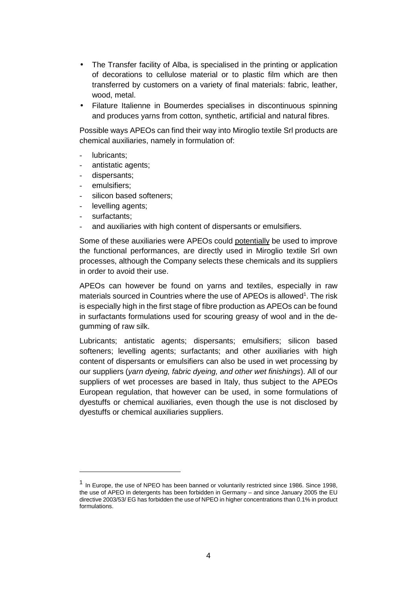- The Transfer facility of Alba, is specialised in the printing or application of decorations to cellulose material or to plastic film which are then transferred by customers on a variety of final materials: fabric, leather, wood, metal.
- Filature Italienne in Boumerdes specialises in discontinuous spinning and produces yarns from cotton, synthetic, artificial and natural fibres.

Possible ways APEOs can find their way into Miroglio textile Srl products are chemical auxiliaries, namely in formulation of:

- lubricants:
- antistatic agents:
- dispersants;
- emulsifiers;
- silicon based softeners;
- levelling agents;
- surfactants;

 $\overline{a}$ 

and auxiliaries with high content of dispersants or emulsifiers.

Some of these auxiliaries were APEOs could potentially be used to improve the functional performances, are directly used in Miroglio textile Srl own processes, although the Company selects these chemicals and its suppliers in order to avoid their use.

APEOs can however be found on yarns and textiles, especially in raw materials sourced in Countries where the use of APEOs is allowed<sup>1</sup>. The risk is especially high in the first stage of fibre production as APEOs can be found in surfactants formulations used for scouring greasy of wool and in the degumming of raw silk.

Lubricants; antistatic agents; dispersants; emulsifiers; silicon based softeners; levelling agents; surfactants; and other auxiliaries with high content of dispersants or emulsifiers can also be used in wet processing by our suppliers (yarn dyeing, fabric dyeing, and other wet finishings). All of our suppliers of wet processes are based in Italy, thus subject to the APEOs European regulation, that however can be used, in some formulations of dyestuffs or chemical auxiliaries, even though the use is not disclosed by dyestuffs or chemical auxiliaries suppliers.

<sup>&</sup>lt;sup>1</sup> In Europe, the use of NPEO has been banned or voluntarily restricted since 1986. Since 1998, the use of APEO in detergents has been forbidden in Germany – and since January 2005 the EU directive 2003/53/ EG has forbidden the use of NPEO in higher concentrations than 0.1% in product formulations.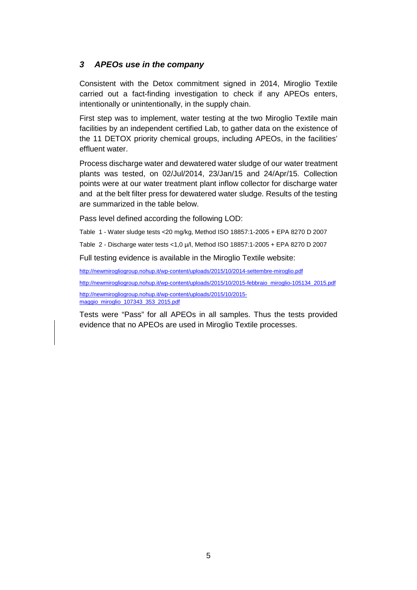## **3 APEOs use in the company**

Consistent with the Detox commitment signed in 2014, Miroglio Textile carried out a fact-finding investigation to check if any APEOs enters, intentionally or unintentionally, in the supply chain.

First step was to implement, water testing at the two Miroglio Textile main facilities by an independent certified Lab, to gather data on the existence of the 11 DETOX priority chemical groups, including APEOs, in the facilities' effluent water.

Process discharge water and dewatered water sludge of our water treatment plants was tested, on 02/Jul/2014, 23/Jan/15 and 24/Apr/15. Collection points were at our water treatment plant inflow collector for discharge water and at the belt filter press for dewatered water sludge. Results of the testing are summarized in the table below.

Pass level defined according the following LOD:

Table 1 - Water sludge tests <20 mg/kg, Method ISO 18857:1-2005 + EPA 8270 D 2007

Table 2 - Discharge water tests <1,0 µ/l, Method ISO 18857:1-2005 + EPA 8270 D 2007

Full testing evidence is available in the Miroglio Textile website:

http://newmirogliogroup.nohup.it/wp-content/uploads/2015/10/2014-settembre-miroglio.pdf

http://newmirogliogroup.nohup.it/wp-content/uploads/2015/10/2015-febbraio\_miroglio-105134\_2015.pdf

http://newmirogliogroup.nohup.it/wp-content/uploads/2015/10/2015 maggio\_miroglio\_107343\_353\_2015.pdf

Tests were "Pass" for all APEOs in all samples. Thus the tests provided evidence that no APEOs are used in Miroglio Textile processes.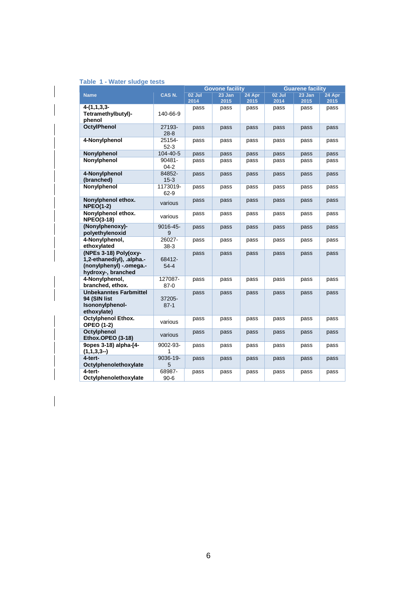| Table 1 - Water sludge tests |  |  |  |  |
|------------------------------|--|--|--|--|
|------------------------------|--|--|--|--|

|                                                                                                       |                       | <b>Govone facility</b> |        |        | <b>Guarene facility</b> |        |        |
|-------------------------------------------------------------------------------------------------------|-----------------------|------------------------|--------|--------|-------------------------|--------|--------|
| <b>Name</b>                                                                                           | CAS N.                | 02 Jul                 | 23 Jan | 24 Apr | 02 Jul                  | 23 Jan | 24 Apr |
|                                                                                                       |                       | 2014                   | 2015   | 2015   | 2014                    | 2015   | 2015   |
| $4-(1,1,3,3-$<br>Tetramethylbutyl)-<br>phenol                                                         | 140-66-9              | pass                   | pass   | pass   | pass                    | pass   | pass   |
| <b>OctylPhenol</b>                                                                                    | 27193-<br>$28 - 8$    | pass                   | pass   | pass   | pass                    | pass   | pass   |
| 4-Nonylphenol                                                                                         | 25154-<br>$52-3$      | pass                   | pass   | pass   | pass                    | pass   | pass   |
| Nonylphenol                                                                                           | 104-40-5              | pass                   | pass   | pass   | pass                    | pass   | pass   |
| Nonylphenol                                                                                           | $90481 -$<br>$04 - 2$ | pass                   | pass   | pass   | pass                    | pass   | pass   |
| 4-Nonylphenol<br>(branched)                                                                           | 84852-<br>$15-3$      | pass                   | pass   | pass   | pass                    | pass   | pass   |
| Nonylphenol                                                                                           | 1173019-<br>$62-9$    | pass                   | pass   | pass   | pass                    | pass   | pass   |
| Nonylphenol ethox.<br><b>NPEO(1-2)</b>                                                                | various               | pass                   | pass   | pass   | pass                    | pass   | pass   |
| Nonylphenol ethox.<br><b>NPEO(3-18)</b>                                                               | various               | pass                   | pass   | pass   | pass                    | pass   | pass   |
| (Nonylphenoxy)-<br>polyethylenoxid                                                                    | 9016-45-<br>9         | pass                   | pass   | pass   | pass                    | pass   | pass   |
| 4-Nonylphenol,<br>ethoxylated                                                                         | 26027-<br>$38-3$      | pass                   | pass   | pass   | pass                    | pass   | pass   |
| (NPEs 3-18) Poly(oxy-<br>1,2-ethanediyl), .alpha.-<br>(nonylphenyl) - .omega .-<br>hydroxy-, branched | 68412-<br>$54-4$      | pass                   | pass   | pass   | pass                    | pass   | pass   |
| 4-Nonylphenol,<br>branched, ethox.                                                                    | 127087-<br>$87-0$     | pass                   | pass   | pass   | pass                    | pass   | pass   |
| <b>Unbekanntes Farbmittel</b><br>94 (SIN list<br>Isononylphenol-<br>ethoxylate)                       | 37205-<br>$87 - 1$    | pass                   | pass   | pass   | pass                    | pass   | pass   |
| <b>Octylphenol Ethox.</b><br><b>OPEO (1-2)</b>                                                        | various               | pass                   | pass   | pass   | pass                    | pass   | pass   |
| Octylphenol<br>Ethox.OPEO (3-18)                                                                      | various               | pass                   | pass   | pass   | pass                    | pass   | pass   |
| 9opes 3-18) alpha-[4-<br>$(1,1,3,3-)$                                                                 | 9002-93-<br>1         | pass                   | pass   | pass   | pass                    | pass   | pass   |
| 4-tert-<br>Octylphenolethoxylate                                                                      | 9036-19-<br>5         | pass                   | pass   | pass   | pass                    | pass   | pass   |
| 4-tert-<br>Octylphenolethoxylate                                                                      | 68987-<br>$90 - 6$    | pass                   | pass   | pass   | pass                    | pass   | pass   |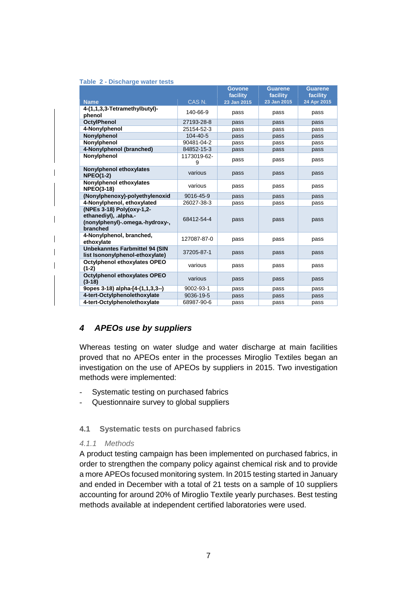|                                                                                                   |                   | Govone<br>facility | <b>Guarene</b><br>facility | <b>Guarene</b><br>facility |
|---------------------------------------------------------------------------------------------------|-------------------|--------------------|----------------------------|----------------------------|
| <b>Name</b>                                                                                       | CAS <sub>N.</sub> | 23 Jan 2015        | 23 Jan 2015                | 24 Apr 2015                |
| 4-(1,1,3,3-Tetramethylbutyl)-                                                                     |                   |                    |                            |                            |
| phenol                                                                                            | 140-66-9          | pass               | pass                       | pass                       |
| <b>OctylPhenol</b>                                                                                | 27193-28-8        | pass               | pass                       | pass                       |
| 4-Nonylphenol                                                                                     | 25154-52-3        | pass               | pass                       | pass                       |
| Nonylphenol                                                                                       | 104-40-5          | pass               | pass                       | pass                       |
| Nonylphenol                                                                                       | 90481-04-2        | pass               | pass                       | pass                       |
| 4-Nonylphenol (branched)                                                                          | 84852-15-3        | pass               | pass                       | pass                       |
| Nonylphenol                                                                                       | 1173019-62-<br>9  | pass               | pass                       | pass                       |
| Nonylphenol ethoxylates<br><b>NPEO(1-2)</b>                                                       | various           | pass               | pass                       | pass                       |
| Nonylphenol ethoxylates<br><b>NPEO(3-18)</b>                                                      | various           | pass               | pass                       | pass                       |
| (Nonylphenoxy)-polyethylenoxid                                                                    | 9016-45-9         | pass               | pass                       | pass                       |
| 4-Nonylphenol, ethoxylated                                                                        | 26027-38-3        | pass               | pass                       | pass                       |
| (NPEs 3-18) Poly(oxy-1,2-<br>ethanediyl), .alpha.-<br>(nonylphenyl)-.omega.-hydroxy-,<br>branched | 68412-54-4        | pass               | pass                       | pass                       |
| 4-Nonylphenol, branched,<br>ethoxylate                                                            | 127087-87-0       | pass               | pass                       | pass                       |
| <b>Unbekanntes Farbmittel 94 (SIN</b><br>list Isononylphenol-ethoxylate)                          | 37205-87-1        | pass               | pass                       | pass                       |
| Octylphenol ethoxylates OPEO<br>$(1-2)$                                                           | various           | pass               | pass                       | pass                       |
| Octylphenol ethoxylates OPEO<br>$(3-18)$                                                          | various           | pass               | pass                       | pass                       |
| 9opes 3-18) alpha-[4-(1,1,3,3--)                                                                  | 9002-93-1         | pass               | pass                       | pass                       |
| 4-tert-Octylphenolethoxylate                                                                      | 9036-19-5         | pass               | pass                       | pass                       |
| 4-tert-Octylphenolethoxylate                                                                      | 68987-90-6        | pass               | pass                       | pass                       |

## **4 APEOs use by suppliers**

Whereas testing on water sludge and water discharge at main facilities proved that no APEOs enter in the processes Miroglio Textiles began an investigation on the use of APEOs by suppliers in 2015. Two investigation methods were implemented:

- Systematic testing on purchased fabrics
- Questionnaire survey to global suppliers

#### **4.1 Systematic tests on purchased fabrics**

#### 4.1.1 Methods

A product testing campaign has been implemented on purchased fabrics, in order to strengthen the company policy against chemical risk and to provide a more APEOs focused monitoring system. In 2015 testing started in January and ended in December with a total of 21 tests on a sample of 10 suppliers accounting for around 20% of Miroglio Textile yearly purchases. Best testing methods available at independent certified laboratories were used.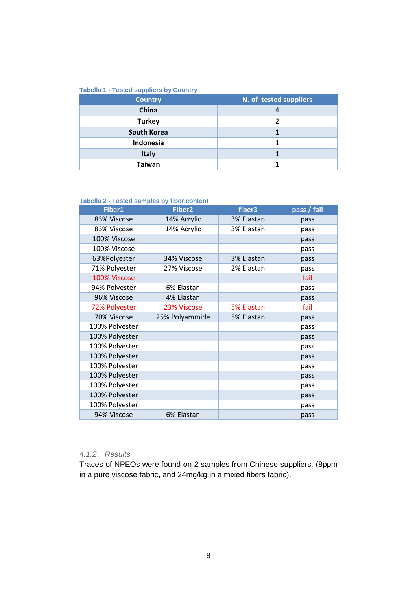#### **Tabella 1 - Tested suppliers by Country**

| <b>Country</b>     | N. of tested suppliers |
|--------------------|------------------------|
| China              |                        |
| <b>Turkey</b>      |                        |
| <b>South Korea</b> |                        |
| Indonesia          |                        |
| <b>Italy</b>       |                        |
| Taiwan             |                        |

#### **Tabella 2 - Tested samples by fiber content**

| Fiber1         | Fiber <sub>2</sub> | fiber3     | pass / fail |
|----------------|--------------------|------------|-------------|
| 83% Viscose    | 14% Acrylic        | 3% Elastan | pass        |
| 83% Viscose    | 14% Acrylic        | 3% Elastan | pass        |
| 100% Viscose   |                    |            | pass        |
| 100% Viscose   |                    |            | pass        |
| 63%Polyester   | 34% Viscose        | 3% Elastan | pass        |
| 71% Polyester  | 27% Viscose        | 2% Elastan | pass        |
| 100% Viscose   |                    |            | fail        |
| 94% Polyester  | 6% Elastan         |            | pass        |
| 96% Viscose    | 4% Elastan         |            | pass        |
| 72% Polyester  | 23% Viscose        | 5% Elastan | fail        |
| 70% Viscose    | 25% Polyammide     | 5% Elastan | pass        |
| 100% Polyester |                    |            | pass        |
| 100% Polyester |                    |            | pass        |
| 100% Polyester |                    |            | pass        |
| 100% Polyester |                    |            | pass        |
| 100% Polyester |                    |            | pass        |
| 100% Polyester |                    |            | pass        |
| 100% Polyester |                    |            | pass        |
| 100% Polyester |                    |            | pass        |
| 100% Polyester |                    |            | pass        |
| 94% Viscose    | 6% Elastan         |            | pass        |

### 4.1.2 Results

Traces of NPEOs were found on 2 samples from Chinese suppliers, (8ppm in a pure viscose fabric, and 24mg/kg in a mixed fibers fabric).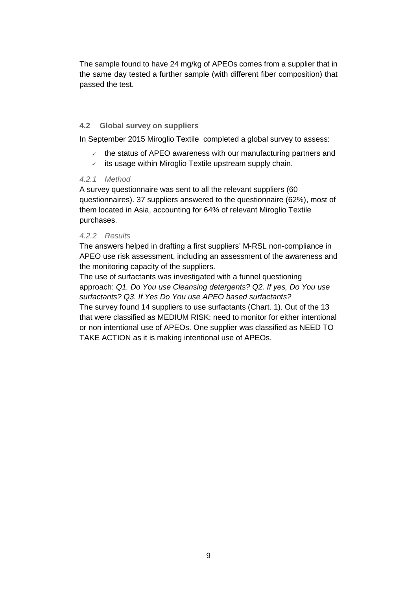The sample found to have 24 mg/kg of APEOs comes from a supplier that in the same day tested a further sample (with different fiber composition) that passed the test.

#### **4.2 Global survey on suppliers**

In September 2015 Miroglio Textile completed a global survey to assess:

- the status of APEO awareness with our manufacturing partners and
- $\checkmark$  its usage within Miroglio Textile upstream supply chain.

#### 4.2.1 Method

A survey questionnaire was sent to all the relevant suppliers (60 questionnaires). 37 suppliers answered to the questionnaire (62%), most of them located in Asia, accounting for 64% of relevant Miroglio Textile purchases.

#### 4.2.2 Results

The answers helped in drafting a first suppliers' M-RSL non-compliance in APEO use risk assessment, including an assessment of the awareness and the monitoring capacity of the suppliers.

The use of surfactants was investigated with a funnel questioning approach: Q1. Do You use Cleansing detergents? Q2. If yes, Do You use surfactants? Q3. If Yes Do You use APEO based surfactants? The survey found 14 suppliers to use surfactants (Chart. 1). Out of the 13 that were classified as MEDIUM RISK: need to monitor for either intentional or non intentional use of APEOs. One supplier was classified as NEED TO TAKE ACTION as it is making intentional use of APEOs.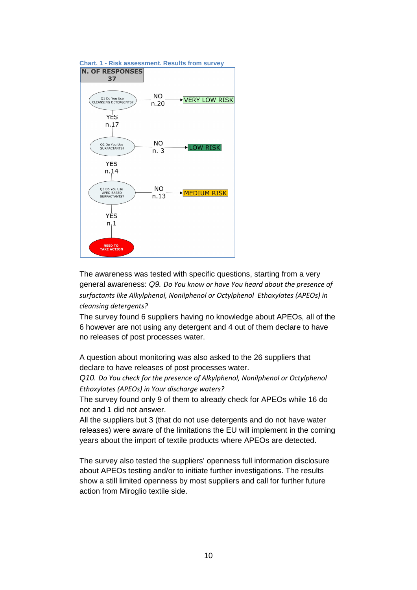



The awareness was tested with specific questions, starting from a very general awareness: Q9. *Do You know or have You heard about the presence of surfactants like Alkylphenol, Nonilphenol or Octylphenol Ethoxylates (APEOs) in cleansing detergents?*

The survey found 6 suppliers having no knowledge about APEOs, all of the 6 however are not using any detergent and 4 out of them declare to have no releases of post processes water.

A question about monitoring was also asked to the 26 suppliers that declare to have releases of post processes water.

Q10. *Do You check for the presence of Alkylphenol, Nonilphenol or Octylphenol Ethoxylates (APEOs) in Your discharge waters?*

The survey found only 9 of them to already check for APEOs while 16 do not and 1 did not answer.

All the suppliers but 3 (that do not use detergents and do not have water releases) were aware of the limitations the EU will implement in the coming years about the import of textile products where APEOs are detected.

The survey also tested the suppliers' openness full information disclosure about APEOs testing and/or to initiate further investigations. The results show a still limited openness by most suppliers and call for further future action from Miroglio textile side.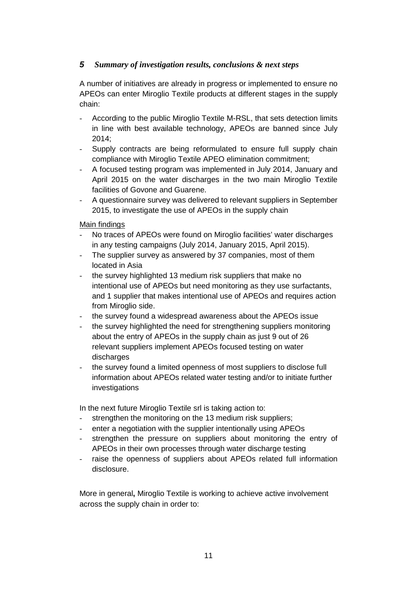## **5** *Summary of investigation results, conclusions & next steps*

A number of initiatives are already in progress or implemented to ensure no APEOs can enter Miroglio Textile products at different stages in the supply chain:

- According to the public Miroglio Textile M-RSL, that sets detection limits in line with best available technology, APEOs are banned since July 2014;
- Supply contracts are being reformulated to ensure full supply chain compliance with Miroglio Textile APEO elimination commitment;
- A focused testing program was implemented in July 2014, January and April 2015 on the water discharges in the two main Miroglio Textile facilities of Govone and Guarene.
- A questionnaire survey was delivered to relevant suppliers in September 2015, to investigate the use of APEOs in the supply chain

### Main findings

- No traces of APEOs were found on Miroglio facilities' water discharges in any testing campaigns (July 2014, January 2015, April 2015).
- The supplier survey as answered by 37 companies, most of them located in Asia
- the survey highlighted 13 medium risk suppliers that make no intentional use of APEOs but need monitoring as they use surfactants, and 1 supplier that makes intentional use of APEOs and requires action from Miroglio side.
- the survey found a widespread awareness about the APEOs issue
- the survey highlighted the need for strengthening suppliers monitoring about the entry of APEOs in the supply chain as just 9 out of 26 relevant suppliers implement APEOs focused testing on water discharges
- the survey found a limited openness of most suppliers to disclose full information about APEOs related water testing and/or to initiate further investigations

In the next future Miroglio Textile srl is taking action to:

- strengthen the monitoring on the 13 medium risk suppliers;
- enter a negotiation with the supplier intentionally using APEOs
- strengthen the pressure on suppliers about monitoring the entry of APEOs in their own processes through water discharge testing
- raise the openness of suppliers about APEOs related full information disclosure.

More in general**,** Miroglio Textile is working to achieve active involvement across the supply chain in order to: